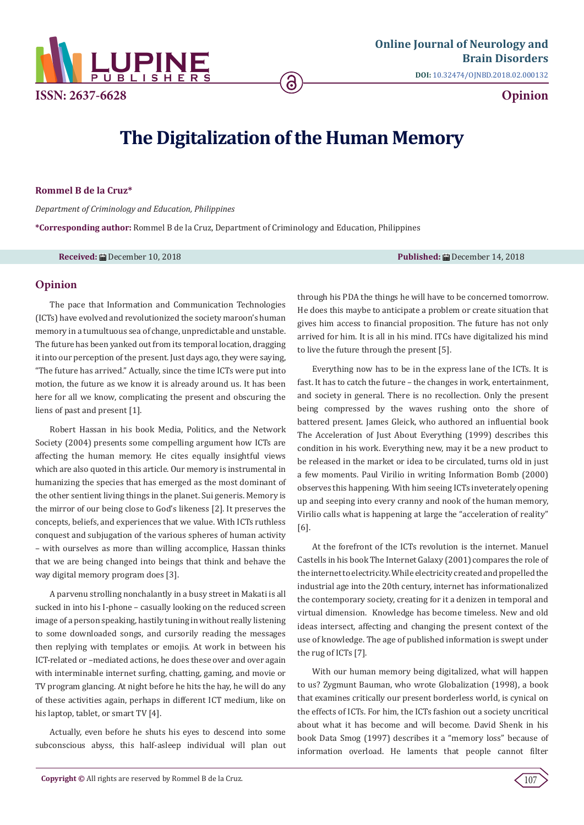

# **The Digitalization of the Human Memory**

#### **Rommel B de la Cruz\***

*Department of Criminology and Education, Philippines*

**\*Corresponding author:** Rommel B de la Cruz, Department of Criminology and Education, Philippines

**Received:** December 10, 2018 **Published:** December 14, 2018

## **Opinion**

The pace that Information and Communication Technologies (ICTs) have evolved and revolutionized the society maroon's human memory in a tumultuous sea of change, unpredictable and unstable. The future has been yanked out from its temporal location, dragging it into our perception of the present. Just days ago, they were saying, "The future has arrived." Actually, since the time ICTs were put into motion, the future as we know it is already around us. It has been here for all we know, complicating the present and obscuring the liens of past and present [1].

Robert Hassan in his book Media, Politics, and the Network Society (2004) presents some compelling argument how ICTs are affecting the human memory. He cites equally insightful views which are also quoted in this article. Our memory is instrumental in humanizing the species that has emerged as the most dominant of the other sentient living things in the planet. Sui generis. Memory is the mirror of our being close to God's likeness [2]. It preserves the concepts, beliefs, and experiences that we value. With ICTs ruthless conquest and subjugation of the various spheres of human activity – with ourselves as more than willing accomplice, Hassan thinks that we are being changed into beings that think and behave the way digital memory program does [3].

A parvenu strolling nonchalantly in a busy street in Makati is all sucked in into his I-phone – casually looking on the reduced screen image of a person speaking, hastily tuning in without really listening to some downloaded songs, and cursorily reading the messages then replying with templates or emojis. At work in between his ICT-related or –mediated actions, he does these over and over again with interminable internet surfing, chatting, gaming, and movie or TV program glancing. At night before he hits the hay, he will do any of these activities again, perhaps in different ICT medium, like on his laptop, tablet, or smart TV [4].

Actually, even before he shuts his eyes to descend into some subconscious abyss, this half-asleep individual will plan out through his PDA the things he will have to be concerned tomorrow. He does this maybe to anticipate a problem or create situation that gives him access to financial proposition. The future has not only arrived for him. It is all in his mind. ITCs have digitalized his mind to live the future through the present [5].

Everything now has to be in the express lane of the ICTs. It is fast. It has to catch the future – the changes in work, entertainment, and society in general. There is no recollection. Only the present being compressed by the waves rushing onto the shore of battered present. James Gleick, who authored an influential book The Acceleration of Just About Everything (1999) describes this condition in his work. Everything new, may it be a new product to be released in the market or idea to be circulated, turns old in just a few moments. Paul Virilio in writing Information Bomb (2000) observes this happening. With him seeing ICTs inveterately opening up and seeping into every cranny and nook of the human memory, Virilio calls what is happening at large the "acceleration of reality" [6].

At the forefront of the ICTs revolution is the internet. Manuel Castells in his book The Internet Galaxy (2001) compares the role of the internet to electricity. While electricity created and propelled the industrial age into the 20th century, internet has informationalized the contemporary society, creating for it a denizen in temporal and virtual dimension. Knowledge has become timeless. New and old ideas intersect, affecting and changing the present context of the use of knowledge. The age of published information is swept under the rug of ICTs [7].

With our human memory being digitalized, what will happen to us? Zygmunt Bauman, who wrote Globalization (1998), a book that examines critically our present borderless world, is cynical on the effects of ICTs. For him, the ICTs fashion out a society uncritical about what it has become and will become. David Shenk in his book Data Smog (1997) describes it a "memory loss" because of information overload. He laments that people cannot filter